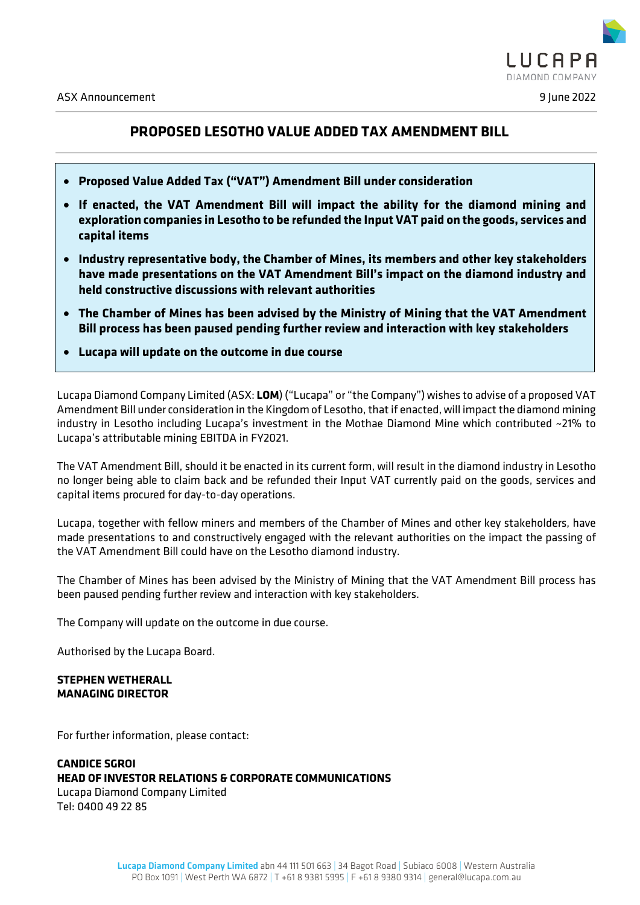

# **PROPOSED LESOTHO VALUE ADDED TAX AMENDMENT BILL**

- **Proposed Value Added Tax ("VAT") Amendment Bill under consideration**
- **If enacted, the VAT Amendment Bill will impact the ability for the diamond mining and exploration companies in Lesotho to be refunded the Input VAT paid on the goods, services and capital items**
- **Industry representative body, the Chamber of Mines, its members and other key stakeholders have made presentations on the VAT Amendment Bill's impact on the diamond industry and held constructive discussions with relevant authorities**
- **The Chamber of Mines has been advised by the Ministry of Mining that the VAT Amendment Bill process has been paused pending further review and interaction with key stakeholders**
- **Lucapa will update on the outcome in due course**

Lucapa Diamond Company Limited (ASX: **LOM**) ("Lucapa" or "the Company") wishes to advise of a proposed VAT Amendment Bill under consideration in the Kingdom of Lesotho, that if enacted, will impact the diamond mining industry in Lesotho including Lucapa's investment in the Mothae Diamond Mine which contributed ~21% to Lucapa's attributable mining EBITDA in FY2021.

The VAT Amendment Bill, should it be enacted in its current form, will result in the diamond industry in Lesotho no longer being able to claim back and be refunded their Input VAT currently paid on the goods, services and capital items procured for day-to-day operations.

Lucapa, together with fellow miners and members of the Chamber of Mines and other key stakeholders, have made presentations to and constructively engaged with the relevant authorities on the impact the passing of the VAT Amendment Bill could have on the Lesotho diamond industry.

The Chamber of Mines has been advised by the Ministry of Mining that the VAT Amendment Bill process has been paused pending further review and interaction with key stakeholders.

The Company will update on the outcome in due course.

Authorised by the Lucapa Board.

## **STEPHEN WETHERALL MANAGING DIRECTOR**

For further information, please contact:

## **CANDICE SGROI HEAD OF INVESTOR RELATIONS & CORPORATE COMMUNICATIONS** Lucapa Diamond Company Limited Tel: 0400 49 22 85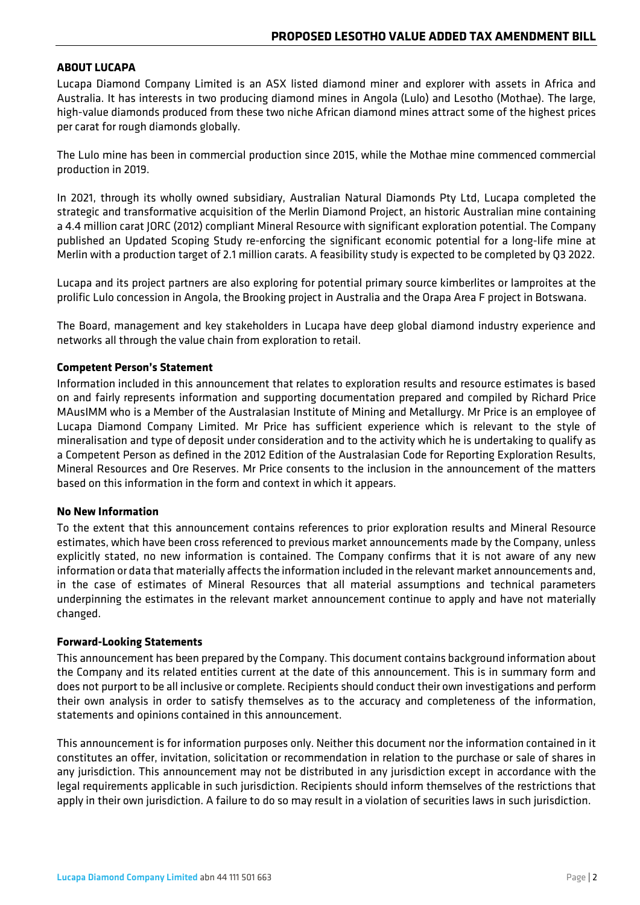## **ABOUT LUCAPA**

Lucapa Diamond Company Limited is an ASX listed diamond miner and explorer with assets in Africa and Australia. It has interests in two producing diamond mines in Angola (Lulo) and Lesotho (Mothae). The large, high-value diamonds produced from these two niche African diamond mines attract some of the highest prices per carat for rough diamonds globally.

The Lulo mine has been in commercial production since 2015, while the Mothae mine commenced commercial production in 2019.

In 2021, through its wholly owned subsidiary, Australian Natural Diamonds Pty Ltd, Lucapa completed the strategic and transformative acquisition of the Merlin Diamond Project, an historic Australian mine containing a 4.4 million carat JORC (2012) compliant Mineral Resource with significant exploration potential. The Company published an Updated Scoping Study re-enforcing the significant economic potential for a long-life mine at Merlin with a production target of 2.1 million carats. A feasibility study is expected to be completed by Q3 2022.

Lucapa and its project partners are also exploring for potential primary source kimberlites or lamproites at the prolific Lulo concession in Angola, the Brooking project in Australia and the Orapa Area F project in Botswana.

The Board, management and key stakeholders in Lucapa have deep global diamond industry experience and networks all through the value chain from exploration to retail.

## **Competent Person's Statement**

Information included in this announcement that relates to exploration results and resource estimates is based on and fairly represents information and supporting documentation prepared and compiled by Richard Price MAusIMM who is a Member of the Australasian Institute of Mining and Metallurgy. Mr Price is an employee of Lucapa Diamond Company Limited. Mr Price has sufficient experience which is relevant to the style of mineralisation and type of deposit under consideration and to the activity which he is undertaking to qualify as a Competent Person as defined in the 2012 Edition of the Australasian Code for Reporting Exploration Results, Mineral Resources and Ore Reserves. Mr Price consents to the inclusion in the announcement of the matters based on this information in the form and context in which it appears.

## **No New Information**

To the extent that this announcement contains references to prior exploration results and Mineral Resource estimates, which have been cross referenced to previous market announcements made by the Company, unless explicitly stated, no new information is contained. The Company confirms that it is not aware of any new information or data that materially affects the information included in the relevant market announcements and, in the case of estimates of Mineral Resources that all material assumptions and technical parameters underpinning the estimates in the relevant market announcement continue to apply and have not materially changed.

## **Forward-Looking Statements**

This announcement has been prepared by the Company. This document contains background information about the Company and its related entities current at the date of this announcement. This is in summary form and does not purport to be all inclusive or complete. Recipients should conduct their own investigations and perform their own analysis in order to satisfy themselves as to the accuracy and completeness of the information, statements and opinions contained in this announcement.

This announcement is for information purposes only. Neither this document nor the information contained in it constitutes an offer, invitation, solicitation or recommendation in relation to the purchase or sale of shares in any jurisdiction. This announcement may not be distributed in any jurisdiction except in accordance with the legal requirements applicable in such jurisdiction. Recipients should inform themselves of the restrictions that apply in their own jurisdiction. A failure to do so may result in a violation of securities laws in such jurisdiction.